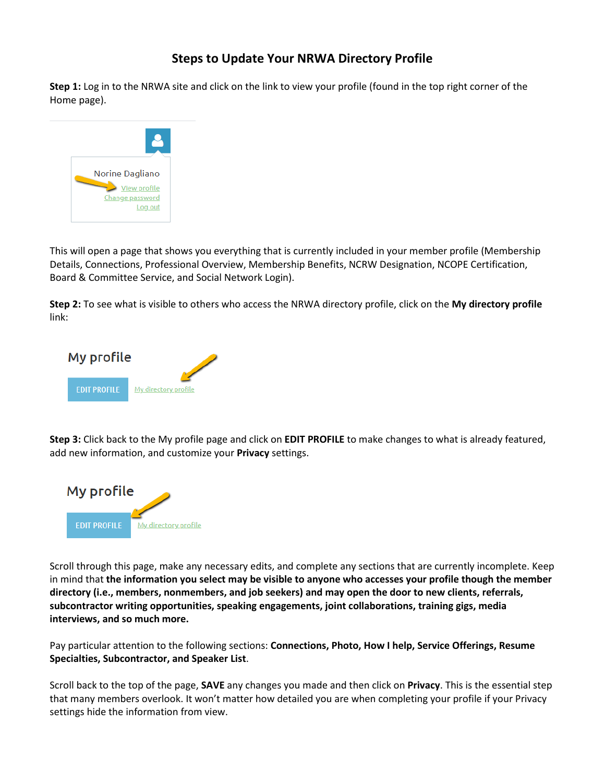### **Steps to Update Your NRWA Directory Profile**

**Step 1:** Log in to the NRWA site and click on the link to view your profile (found in the top right corner of the Home page).



This will open a page that shows you everything that is currently included in your member profile (Membership Details, Connections, Professional Overview, Membership Benefits, NCRW Designation, NCOPE Certification, Board & Committee Service, and Social Network Login).

**Step 2:** To see what is visible to others who access the NRWA directory profile, click on the **My directory profile** link:



**Step 3:** Click back to the My profile page and click on **EDIT PROFILE** to make changes to what is already featured, add new information, and customize your **Privacy** settings.



Scroll through this page, make any necessary edits, and complete any sections that are currently incomplete. Keep in mind that **the information you select may be visible to anyone who accesses your profile though the member directory (i.e., members, nonmembers, and job seekers) and may open the door to new clients, referrals, subcontractor writing opportunities, speaking engagements, joint collaborations, training gigs, media interviews, and so much more.**

Pay particular attention to the following sections: **Connections, Photo, How I help, Service Offerings, Resume Specialties, Subcontractor, and Speaker List**.

Scroll back to the top of the page, **SAVE** any changes you made and then click on **Privacy**. This is the essential step that many members overlook. It won't matter how detailed you are when completing your profile if your Privacy settings hide the information from view.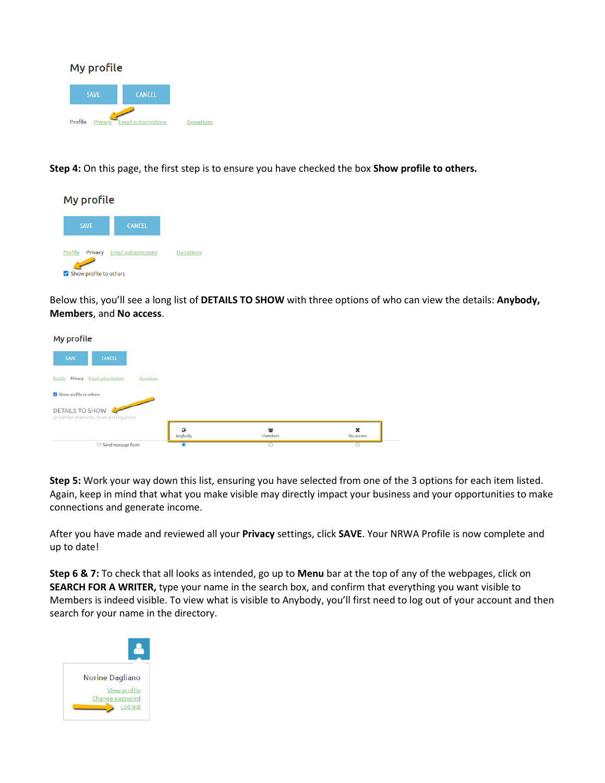

**Step 4:** On this page, the first step is to ensure you have checked the box **Show profile to others.**



Below this, you'll see a long list of **DETAILS TO SHOW** with three options of who can view the details: **Anybody, Members**, and **No access**.



**Step 5:** Work your way down this list, ensuring you have selected from one of the 3 options for each item listed. Again, keep in mind that what you make visible may directly impact your business and your opportunities to make connections and generate income.

After you have made and reviewed all your **Privacy** settings, click **SAVE**. Your NRWA Profile is now complete and up to date!

**Step 6 & 7:** To check that all looks as intended, go up to **Menu** bar at the top of any of the webpages, click on **SEARCH FOR A WRITER,** type your name in the search box, and confirm that everything you want visible to Members is indeed visible. To view what is visible to Anybody, you'll first need to log out of your account and then search for your name in the directory.

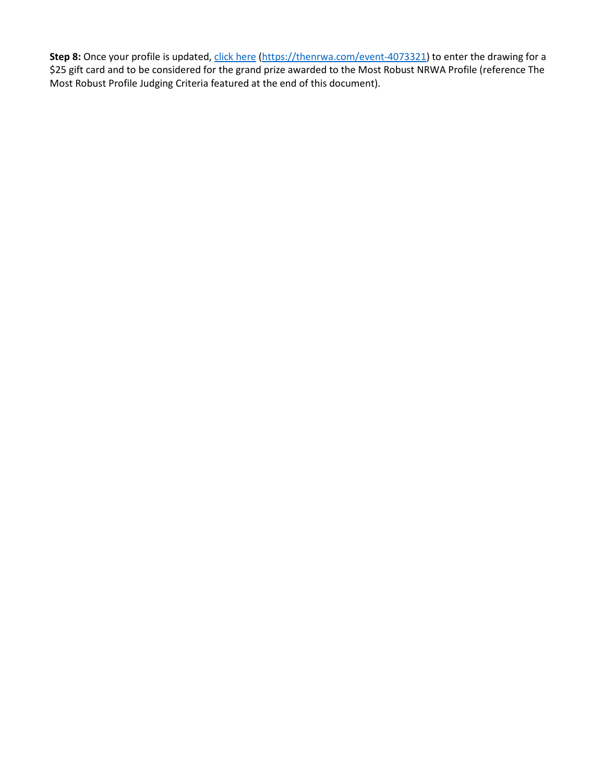Step 8: Once your profile is updated, [click here](https://thenrwa.com/event-4073321) [\(https://thenrwa.com/event-4073321\)](https://thenrwa.com/event-4073321) to enter the drawing for a \$25 gift card and to be considered for the grand prize awarded to the Most Robust NRWA Profile (reference The Most Robust Profile Judging Criteria featured at the end of this document).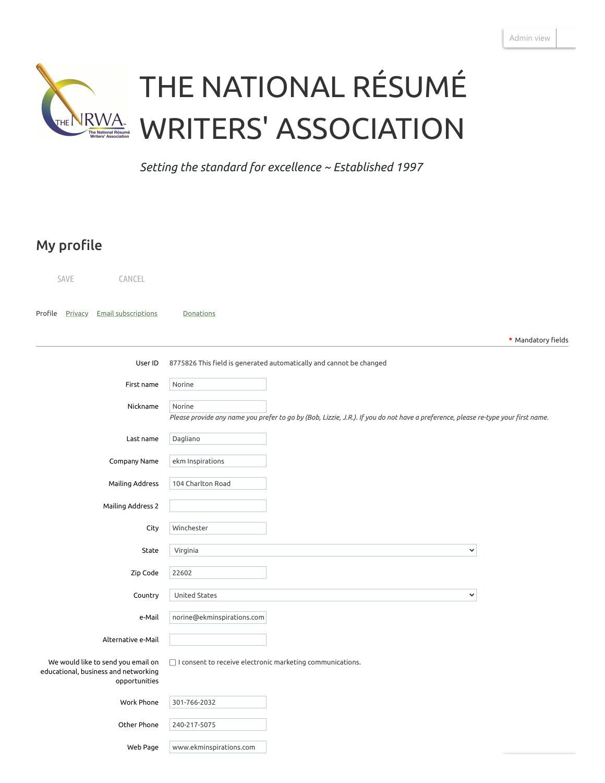

*Setting the standard for excellence ~ Established 1997*

# My profile

| SAVE                      | CANCEL                                                                                      |                                                                                                                                             |  |
|---------------------------|---------------------------------------------------------------------------------------------|---------------------------------------------------------------------------------------------------------------------------------------------|--|
| Profile<br><b>Privacy</b> | <b>Email subscriptions</b>                                                                  | Donations                                                                                                                                   |  |
|                           |                                                                                             | * Mandatory fields                                                                                                                          |  |
|                           | User ID                                                                                     | 8775826 This field is generated automatically and cannot be changed                                                                         |  |
|                           | First name                                                                                  | Norine                                                                                                                                      |  |
|                           | Nickname                                                                                    | Norine<br>Please provide any name you prefer to go by (Bob, Lizzie, J.R.). If you do not have a preference, please re-type your first name. |  |
|                           | Last name                                                                                   | Dagliano                                                                                                                                    |  |
|                           | Company Name                                                                                | ekm Inspirations                                                                                                                            |  |
|                           | Mailing Address                                                                             | 104 Charlton Road                                                                                                                           |  |
|                           | Mailing Address 2                                                                           |                                                                                                                                             |  |
|                           | City                                                                                        | Winchester                                                                                                                                  |  |
|                           | State                                                                                       | $\checkmark$<br>Virginia                                                                                                                    |  |
|                           | Zip Code                                                                                    | 22602                                                                                                                                       |  |
|                           | Country                                                                                     | United States<br>$\checkmark$                                                                                                               |  |
|                           | e-Mail                                                                                      | norine@ekminspirations.com                                                                                                                  |  |
|                           | Alternative e-Mail                                                                          |                                                                                                                                             |  |
|                           | We would like to send you email on<br>educational, business and networking<br>opportunities | $\Box$ I consent to receive electronic marketing communications.                                                                            |  |
|                           | Work Phone                                                                                  | 301-766-2032                                                                                                                                |  |
|                           | Other Phone                                                                                 | 240-217-5075                                                                                                                                |  |
|                           | Web Page                                                                                    | www.ekminspirations.com                                                                                                                     |  |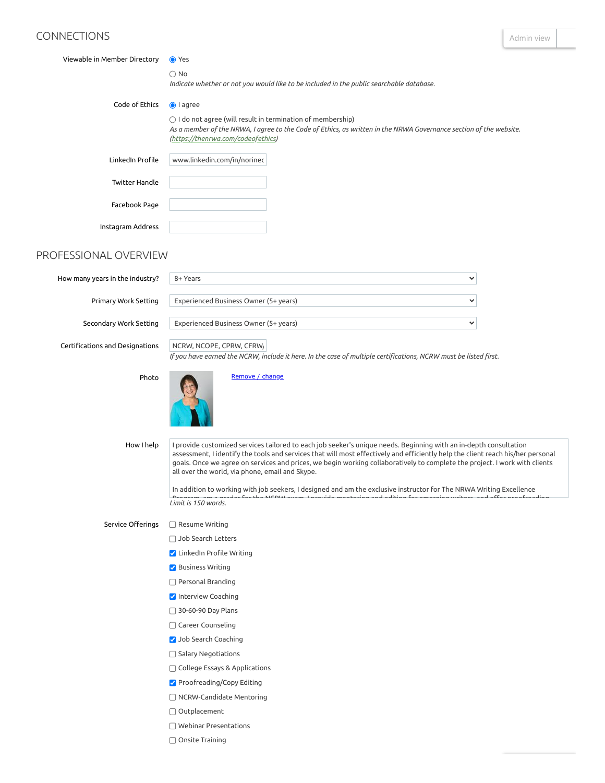### CONNECTIONS

 $\checkmark$ 

| Viewable in Member Directory    | <b>●</b> Yes                                                                                                                                                                                                                    |  |
|---------------------------------|---------------------------------------------------------------------------------------------------------------------------------------------------------------------------------------------------------------------------------|--|
|                                 | $\bigcirc$ No<br>Indicate whether or not you would like to be included in the public searchable database.                                                                                                                       |  |
| Code of Ethics                  | lagree                                                                                                                                                                                                                          |  |
|                                 | $\bigcirc$ I do not agree (will result in termination of membership)<br>As a member of the NRWA, I agree to the Code of Ethics, as written in the NRWA Governance section of the website.<br>(https://thenrwa.com/codeofethics) |  |
| LinkedIn Profile                | www.linkedin.com/in/norinec                                                                                                                                                                                                     |  |
| <b>Twitter Handle</b>           |                                                                                                                                                                                                                                 |  |
| Facebook Page                   |                                                                                                                                                                                                                                 |  |
| Instagram Address               |                                                                                                                                                                                                                                 |  |
| PROFESSIONAL OVERVIEW           |                                                                                                                                                                                                                                 |  |
| How many years in the industry? | 8+ Years<br>$\checkmark$                                                                                                                                                                                                        |  |
| Primary Work Setting            | Experienced Business Owner (5+ years)<br>╰                                                                                                                                                                                      |  |

Secondary Work Setting

Certifications and Designations NCRW, NCOPE, CPRW, CFRW/

Experienced Business Owner (5+ years)

If you have earned the NCRW, include it here. In the case of multiple certifications, NCRW must be listed first.

Photo



[Remove / change](javascript:__doPostBack()

How I help

I provide customized services tailored to each job seeker's unique needs. Beginning with an in-depth consultation assessment, I identify the tools and services that will most effectively and efficiently help the client reach his/her personal goals. Once we agree on services and prices, we begin working collaboratively to complete the project. I work with clients all over the world, via phone, email and Skype.

*Limit is 150 words.* In addition to working with job seekers, I designed and am the exclusive instructor for The NRWA Writing Excellence Program am a grader for the NCRW exam I provide mentoring and editing for emerging writers and oer proofreading

#### Service Offerings Resume Writing

- □ Job Search Letters
- $\blacktriangleright$  LinkedIn Profile Writing
- Business Writing
- □ Personal Branding
- **V** Interview Coaching
- □ 30-60-90 Day Plans
- Career Counseling
- **Job Search Coaching**
- $\Box$  Salary Negotiations
- College Essays & Applications
- ✔ Proofreading/Copy Editing
- NCRW-Candidate Mentoring
- Outplacement
- Webinar Presentations
- Onsite Training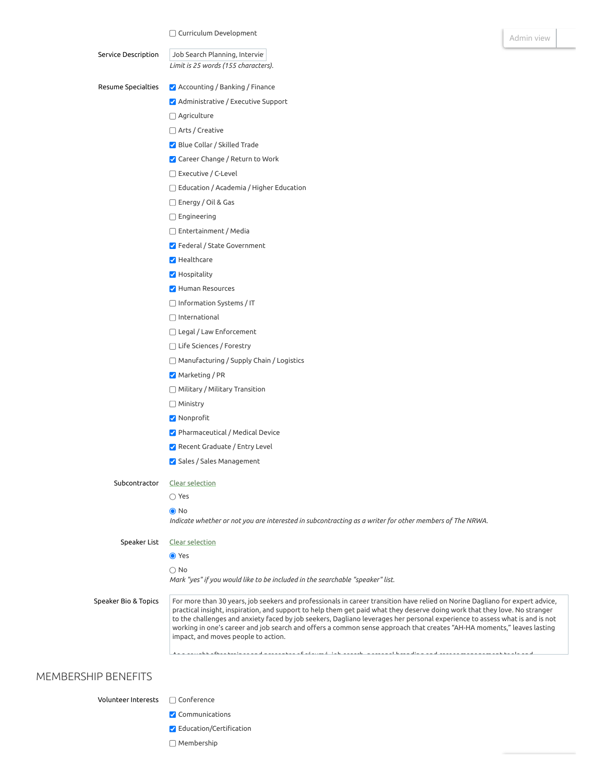Service Description Resume Specialties Subcontractor Speaker List Speaker Bio & Topics *Limit is 25 words (155 characters).* Job Search Planning, Intervie Accounting / Banking / Finance Administrative / Executive Support Agriculture □ Arts / Creative Blue Collar / Skilled Trade **Career Change / Return to Work** □ Executive / C-Level Education / Academia / Higher Education Energy / Oil & Gas Engineering Entertainment / Media Federal / State Government **Healthcare Hospitality Human Resources** Information Systems / IT International Legal / Law Enforcement Life Sciences / Forestry Manufacturing / Supply Chain / Logistics Marketing / PR Military / Military Transition Ministry **V** Nonprofit Pharmaceutical / Medical Device Recent Graduate / Entry Level Sales / Sales Management Clear selection Yes **●** No Indicate whether or not you are interested in subcontracting as a writer for other members of The NRWA. Clear selection **●** Yes  $\bigcirc$  No *Mark "yes" if you would like to be included in the searchable "speaker" list.*

For more than 30 years, job seekers and professionals in career transition have relied on Norine Dagliano for expert advice, practical insight, inspiration, and support to help them get paid what they deserve doing work that they love. No stranger to the challenges and anxiety faced by job seekers, Dagliano leverages her personal experience to assess what is and is not working in one's career and job search and offers a common sense approach that creates "AH-HA moments," leaves lasting impact, and moves people to action.

As a sought after trainer and presenter of résumé job search personal branding and career management tools and

#### MEMBERSHIP BENEFITS

Volunteer Interests □ Conference

- **V** Communications
- $\blacktriangleright$  Education/Certification
- Membership

[Admin view](https://www.thenrwa.com/Sys/Login/SwitchToAdmin)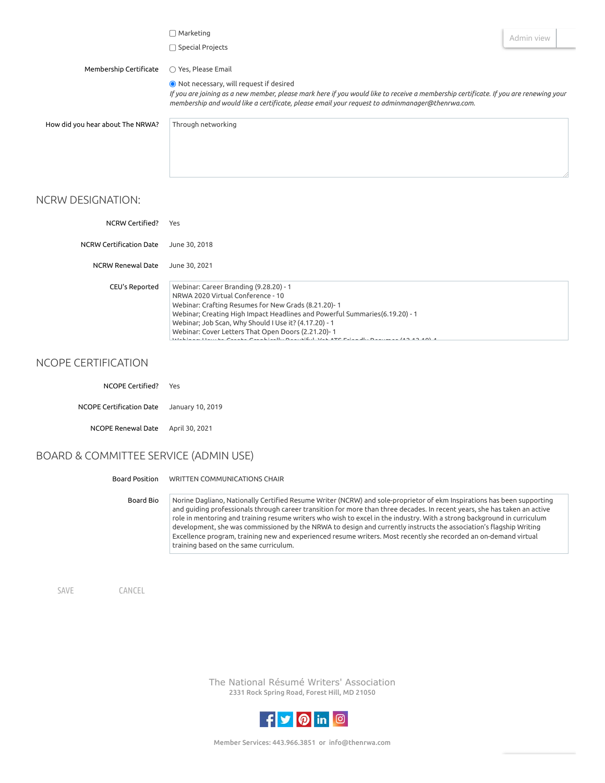|                                  | $\Box$ Marketing<br>$\Box$ Special Projects                                                                                                                                                                                                                                         | Admin view |  |
|----------------------------------|-------------------------------------------------------------------------------------------------------------------------------------------------------------------------------------------------------------------------------------------------------------------------------------|------------|--|
| Membership Certificate           | $\bigcirc$ Yes, Please Email                                                                                                                                                                                                                                                        |            |  |
|                                  | ● Not necessary, will request if desired<br>If you are joining as a new member, please mark here if you would like to receive a membership certificate. If you are renewing your<br>membership and would like a certificate, please email your request to adminmanager@thenrwa.com. |            |  |
| How did you hear about The NRWA? | Through networking                                                                                                                                                                                                                                                                  |            |  |

#### NCRW DESIGNATION:

| NCRW Certified?          | Yes                                                                                                                                                                                                                                                                                                                              |
|--------------------------|----------------------------------------------------------------------------------------------------------------------------------------------------------------------------------------------------------------------------------------------------------------------------------------------------------------------------------|
| NCRW Certification Date  | June 30, 2018                                                                                                                                                                                                                                                                                                                    |
| <b>NCRW Renewal Date</b> | June 30, 2021                                                                                                                                                                                                                                                                                                                    |
| CEU's Reported           | Webinar: Career Branding (9.28.20) - 1<br>NRWA 2020 Virtual Conference - 10<br>Webinar: Crafting Resumes for New Grads (8.21.20)-1<br>Webinar; Creating High Impact Headlines and Powerful Summaries(6.19.20) - 1<br>Webinar; Job Scan, Why Should I Use it? (4.17.20) - 1<br>Webinar: Cover Letters That Open Doors (2.21.20)-1 |

Webinar: How to Create Graphically Beautiful Yet ATS Friendly Resumes (12 13 19) 1

#### NCOPE CERTIFICATION

| NCOPE Certified?                          | Yes |
|-------------------------------------------|-----|
| NCOPE Certification Date January 10, 2019 |     |
| NCOPE Renewal Date April 30, 2021         |     |

### BOARD & COMMITTEE SERVICE (ADMIN USE)

| Board Position | WRITTEN COMMUNICATIONS CHAIR |  |
|----------------|------------------------------|--|
|                |                              |  |

Board Bio Norine Dagliano, Nationally Certified Resume Writer (NCRW) and sole-proprietor of ekm Inspirations has been supporting and guiding professionals through career transition for more than three decades. In recent years, she has taken an active role in mentoring and training resume writers who wish to excel in the industry. With a strong background in curriculum development, she was commissioned by the NRWA to design and currently instructs the association's flagship Writing Excellence program, training new and experienced resume writers. Most recently she recorded an on-demand virtual training based on the same curriculum.

SAVE CANCEL

The National Résumé Writers' Association 2331 Rock Spring Road, Forest Hill, MD 21050

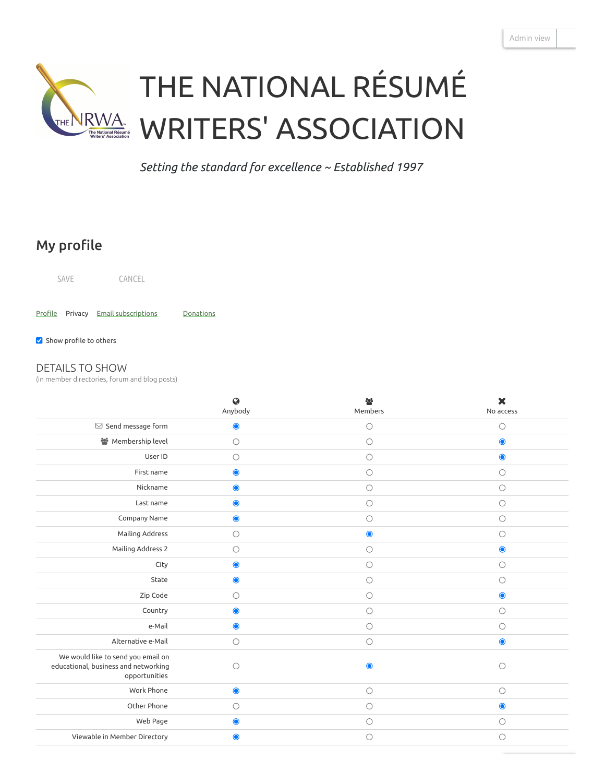

*Setting the standard for excellence ~ Established 1997*

# My profile

SAVE CANCEL

Profile Privacy Email [subscriptions](https://www.thenrwa.com/Sys/Profile/Subscriptions/Edit?memberId=8775826) [Donations](https://www.thenrwa.com/Sys/Profile/Donations?memberId=8775826)

 $\blacktriangleright$  Show profile to others

#### DETAILS TO SHOW

(in member directories, forum and blog posts)

|                                                                                             | $\ddot{Q}$          | 參          | $\boldsymbol{\mathsf{x}}$ |
|---------------------------------------------------------------------------------------------|---------------------|------------|---------------------------|
|                                                                                             | Anybody             | Members    | No access                 |
| $\boxdot$ Send message form                                                                 | $\bullet$           | $\circ$    | $\bigcirc$                |
| Membership level                                                                            | $\bigcirc$          | $\circ$    | $\bullet$                 |
| User ID                                                                                     | $\bigcirc$          | $\bigcirc$ | $\bullet$                 |
| First name                                                                                  | $\bullet$           | $\circ$    | $\bigcirc$                |
| Nickname                                                                                    | $\bullet$           | $\bigcirc$ | $\bigcirc$                |
| Last name                                                                                   | $\bullet$           | $\bigcirc$ | $\bigcirc$                |
| Company Name                                                                                | $\bullet$           | $\circ$    | $\bigcirc$                |
| Mailing Address                                                                             | $\bigcirc$          | $\bullet$  | $\bigcirc$                |
| Mailing Address 2                                                                           | $\circ$             | $\circ$    | $\bullet$                 |
| City                                                                                        | $\bullet$           | $\bigcirc$ | $\bigcirc$                |
| State                                                                                       | $\bullet$           | $\bigcirc$ | $\bigcirc$                |
| Zip Code                                                                                    | $\bigcirc$          | $\bigcirc$ | $\bullet$                 |
| Country                                                                                     | $\bullet$           | $\circ$    | $\bigcirc$                |
| e-Mail                                                                                      | $\bullet$           | $\bigcirc$ | $\bigcirc$                |
| Alternative e-Mail                                                                          | $\bigcirc$          | $\bigcirc$ | $\bullet$                 |
| We would like to send you email on<br>educational, business and networking<br>opportunities | $\circlearrowright$ | $\bullet$  | $\bigcirc$                |
| Work Phone                                                                                  | $\bullet$           | $\circ$    | $\bigcirc$                |
| Other Phone                                                                                 | $\bigcirc$          | $\bigcirc$ | $\bullet$                 |
| Web Page                                                                                    | $\bullet$           | $\circ$    | $\bigcirc$                |
| Viewable in Member Directory                                                                | $\bullet$           | ∩          | $\bigcirc$                |
|                                                                                             |                     |            |                           |